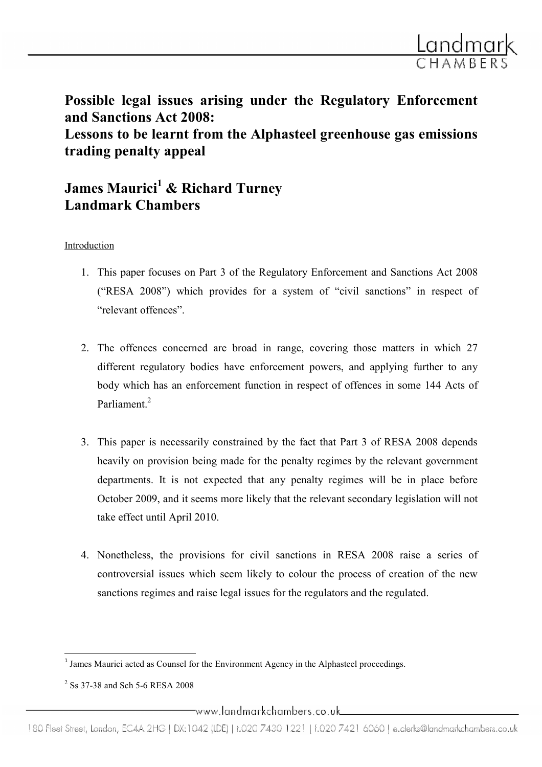

Possible legal issues arising under the Regulatory Enforcement and Sanctions Act 2008: Lessons to be learnt from the Alphasteel greenhouse gas emissions trading penalty appeal

# James Maurici<sup>1</sup> & Richard Turney Landmark Chambers

#### Introduction

- 1. This paper focuses on Part 3 of the Regulatory Enforcement and Sanctions Act 2008 ("RESA 2008") which provides for a system of "civil sanctions" in respect of "relevant offences".
- 2. The offences concerned are broad in range, covering those matters in which 27 different regulatory bodies have enforcement powers, and applying further to any body which has an enforcement function in respect of offences in some 144 Acts of Parliament.<sup>2</sup>
- 3. This paper is necessarily constrained by the fact that Part 3 of RESA 2008 depends heavily on provision being made for the penalty regimes by the relevant government departments. It is not expected that any penalty regimes will be in place before October 2009, and it seems more likely that the relevant secondary legislation will not take effect until April 2010.
- 4. Nonetheless, the provisions for civil sanctions in RESA 2008 raise a series of controversial issues which seem likely to colour the process of creation of the new sanctions regimes and raise legal issues for the regulators and the regulated.

ı

<sup>&</sup>lt;sup>1</sup> James Maurici acted as Counsel for the Environment Agency in the Alphasteel proceedings.

<sup>&</sup>lt;sup>2</sup> Ss 37-38 and Sch 5-6 RESA 2008

\_www.landmarkchambers.co.uk\_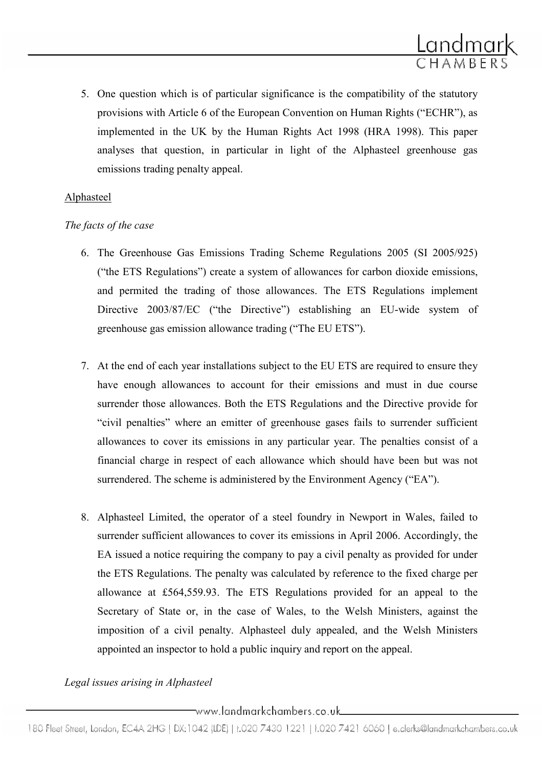5. One question which is of particular significance is the compatibility of the statutory provisions with Article 6 of the European Convention on Human Rights ("ECHR"), as implemented in the UK by the Human Rights Act 1998 (HRA 1998). This paper analyses that question, in particular in light of the Alphasteel greenhouse gas emissions trading penalty appeal.

Landmark

# Alphasteel

## The facts of the case

- 6. The Greenhouse Gas Emissions Trading Scheme Regulations 2005 (SI 2005/925) ("the ETS Regulations") create a system of allowances for carbon dioxide emissions, and permited the trading of those allowances. The ETS Regulations implement Directive 2003/87/EC ("the Directive") establishing an EU-wide system of greenhouse gas emission allowance trading ("The EU ETS").
- 7. At the end of each year installations subject to the EU ETS are required to ensure they have enough allowances to account for their emissions and must in due course surrender those allowances. Both the ETS Regulations and the Directive provide for "civil penalties" where an emitter of greenhouse gases fails to surrender sufficient allowances to cover its emissions in any particular year. The penalties consist of a financial charge in respect of each allowance which should have been but was not surrendered. The scheme is administered by the Environment Agency ("EA").
- 8. Alphasteel Limited, the operator of a steel foundry in Newport in Wales, failed to surrender sufficient allowances to cover its emissions in April 2006. Accordingly, the EA issued a notice requiring the company to pay a civil penalty as provided for under the ETS Regulations. The penalty was calculated by reference to the fixed charge per allowance at £564,559.93. The ETS Regulations provided for an appeal to the Secretary of State or, in the case of Wales, to the Welsh Ministers, against the imposition of a civil penalty. Alphasteel duly appealed, and the Welsh Ministers appointed an inspector to hold a public inquiry and report on the appeal.

# Legal issues arising in Alphasteel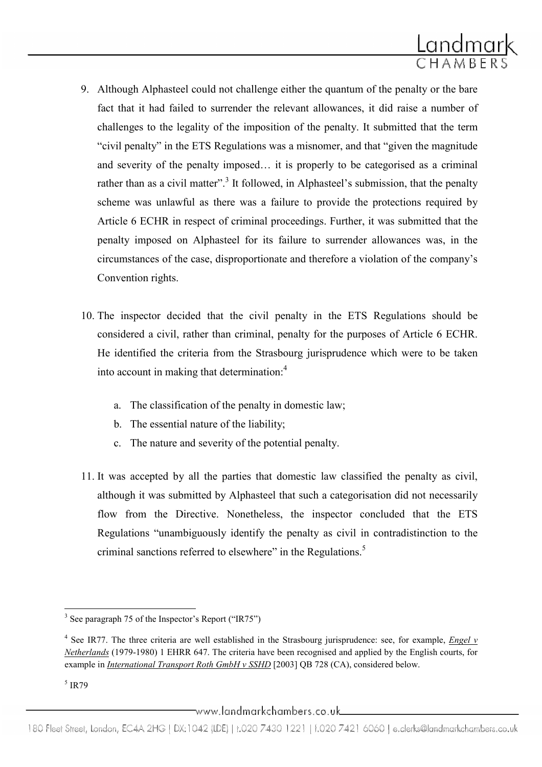

- 9. Although Alphasteel could not challenge either the quantum of the penalty or the bare fact that it had failed to surrender the relevant allowances, it did raise a number of challenges to the legality of the imposition of the penalty. It submitted that the term "civil penalty" in the ETS Regulations was a misnomer, and that "given the magnitude and severity of the penalty imposed… it is properly to be categorised as a criminal rather than as a civil matter".<sup>3</sup> It followed, in Alphasteel's submission, that the penalty scheme was unlawful as there was a failure to provide the protections required by Article 6 ECHR in respect of criminal proceedings. Further, it was submitted that the penalty imposed on Alphasteel for its failure to surrender allowances was, in the circumstances of the case, disproportionate and therefore a violation of the company's Convention rights.
- 10. The inspector decided that the civil penalty in the ETS Regulations should be considered a civil, rather than criminal, penalty for the purposes of Article 6 ECHR. He identified the criteria from the Strasbourg jurisprudence which were to be taken into account in making that determination:<sup>4</sup>
	- a. The classification of the penalty in domestic law;
	- b. The essential nature of the liability;
	- c. The nature and severity of the potential penalty.
- 11. It was accepted by all the parties that domestic law classified the penalty as civil, although it was submitted by Alphasteel that such a categorisation did not necessarily flow from the Directive. Nonetheless, the inspector concluded that the ETS Regulations "unambiguously identify the penalty as civil in contradistinction to the criminal sanctions referred to elsewhere" in the Regulations.<sup>5</sup>

<sup>&</sup>lt;sup>3</sup> See paragraph 75 of the Inspector's Report ("IR75")

<sup>&</sup>lt;sup>4</sup> See IR77. The three criteria are well established in the Strasbourg jurisprudence: see, for example, *Engel v* Netherlands (1979-1980) 1 EHRR 647. The criteria have been recognised and applied by the English courts, for example in *International Transport Roth GmbH v SSHD* [2003] OB 728 (CA), considered below.

<sup>5</sup> IR79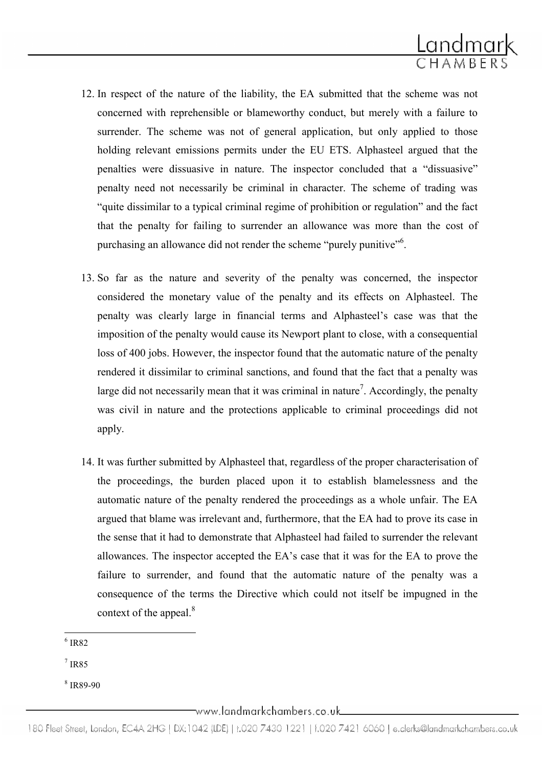

- 12. In respect of the nature of the liability, the EA submitted that the scheme was not concerned with reprehensible or blameworthy conduct, but merely with a failure to surrender. The scheme was not of general application, but only applied to those holding relevant emissions permits under the EU ETS. Alphasteel argued that the penalties were dissuasive in nature. The inspector concluded that a "dissuasive" penalty need not necessarily be criminal in character. The scheme of trading was "quite dissimilar to a typical criminal regime of prohibition or regulation" and the fact that the penalty for failing to surrender an allowance was more than the cost of purchasing an allowance did not render the scheme "purely punitive"<sup>6</sup>.
- 13. So far as the nature and severity of the penalty was concerned, the inspector considered the monetary value of the penalty and its effects on Alphasteel. The penalty was clearly large in financial terms and Alphasteel's case was that the imposition of the penalty would cause its Newport plant to close, with a consequential loss of 400 jobs. However, the inspector found that the automatic nature of the penalty rendered it dissimilar to criminal sanctions, and found that the fact that a penalty was large did not necessarily mean that it was criminal in nature<sup>7</sup>. Accordingly, the penalty was civil in nature and the protections applicable to criminal proceedings did not apply.
- 14. It was further submitted by Alphasteel that, regardless of the proper characterisation of the proceedings, the burden placed upon it to establish blamelessness and the automatic nature of the penalty rendered the proceedings as a whole unfair. The EA argued that blame was irrelevant and, furthermore, that the EA had to prove its case in the sense that it had to demonstrate that Alphasteel had failed to surrender the relevant allowances. The inspector accepted the EA's case that it was for the EA to prove the failure to surrender, and found that the automatic nature of the penalty was a consequence of the terms the Directive which could not itself be impugned in the context of the appeal. $8$

6 IR82

ı

7 IR85

8 IR89-90

\_www.landmarkchambers.co.uk\_

180 Fleet Street, London, EC4A 2HG | DX:1042 (LDE) | t.020 7430 1221 | f.020 7421 6060 | e.clerks@landmarkchambers.co.uk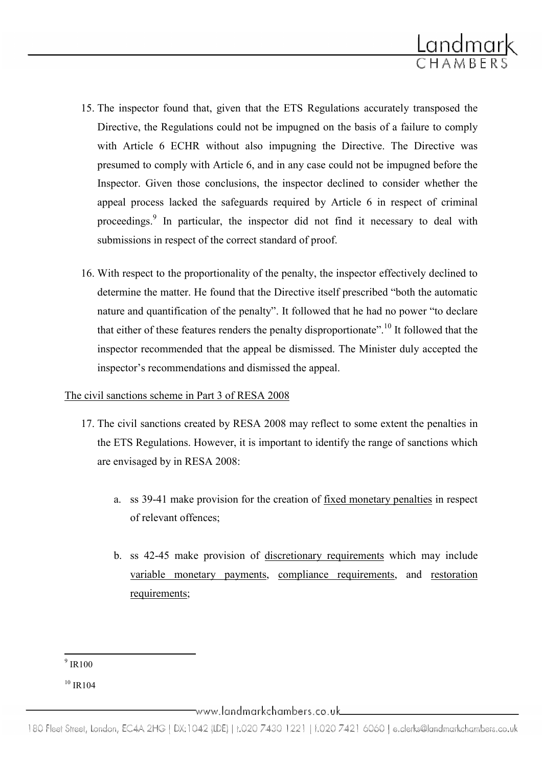

- 15. The inspector found that, given that the ETS Regulations accurately transposed the Directive, the Regulations could not be impugned on the basis of a failure to comply with Article 6 ECHR without also impugning the Directive. The Directive was presumed to comply with Article 6, and in any case could not be impugned before the Inspector. Given those conclusions, the inspector declined to consider whether the appeal process lacked the safeguards required by Article 6 in respect of criminal proceedings.<sup>9</sup> In particular, the inspector did not find it necessary to deal with submissions in respect of the correct standard of proof.
- 16. With respect to the proportionality of the penalty, the inspector effectively declined to determine the matter. He found that the Directive itself prescribed "both the automatic nature and quantification of the penalty". It followed that he had no power "to declare that either of these features renders the penalty disproportionate".<sup>10</sup> It followed that the inspector recommended that the appeal be dismissed. The Minister duly accepted the inspector's recommendations and dismissed the appeal.

#### The civil sanctions scheme in Part 3 of RESA 2008

- 17. The civil sanctions created by RESA 2008 may reflect to some extent the penalties in the ETS Regulations. However, it is important to identify the range of sanctions which are envisaged by in RESA 2008:
	- a. ss 39-41 make provision for the creation of fixed monetary penalties in respect of relevant offences;
	- b. ss 42-45 make provision of discretionary requirements which may include variable monetary payments, compliance requirements, and restoration requirements;

ı

 $^9$  IR100

 $10$  IR 104

<sup>180</sup> Fleet Street, London, EC4A 2HG | DX:1042 (LDE) | t.020 7430 1221 | f.020 7421 6060 | e.clerks@landmarkchambers.co.uk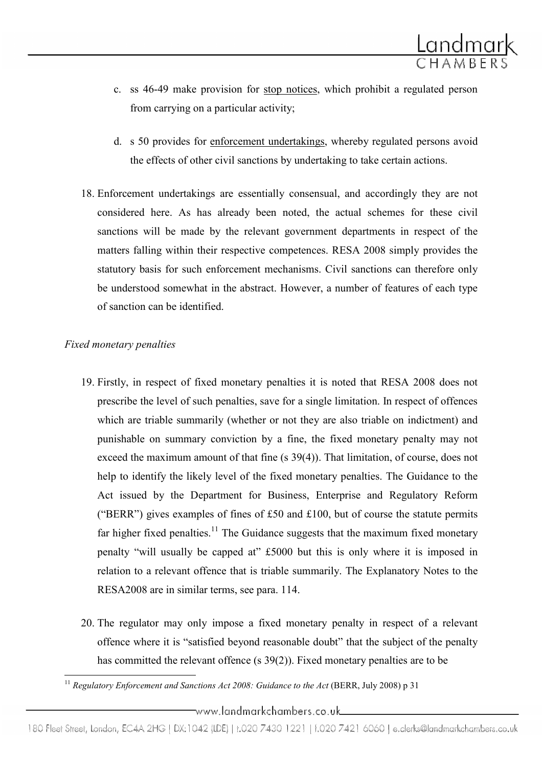

- c. ss 46-49 make provision for stop notices, which prohibit a regulated person from carrying on a particular activity;
- d. s 50 provides for enforcement undertakings, whereby regulated persons avoid the effects of other civil sanctions by undertaking to take certain actions.
- 18. Enforcement undertakings are essentially consensual, and accordingly they are not considered here. As has already been noted, the actual schemes for these civil sanctions will be made by the relevant government departments in respect of the matters falling within their respective competences. RESA 2008 simply provides the statutory basis for such enforcement mechanisms. Civil sanctions can therefore only be understood somewhat in the abstract. However, a number of features of each type of sanction can be identified.

#### Fixed monetary penalties

ı

- 19. Firstly, in respect of fixed monetary penalties it is noted that RESA 2008 does not prescribe the level of such penalties, save for a single limitation. In respect of offences which are triable summarily (whether or not they are also triable on indictment) and punishable on summary conviction by a fine, the fixed monetary penalty may not exceed the maximum amount of that fine (s 39(4)). That limitation, of course, does not help to identify the likely level of the fixed monetary penalties. The Guidance to the Act issued by the Department for Business, Enterprise and Regulatory Reform ("BERR") gives examples of fines of £50 and £100, but of course the statute permits far higher fixed penalties.<sup>11</sup> The Guidance suggests that the maximum fixed monetary penalty "will usually be capped at" £5000 but this is only where it is imposed in relation to a relevant offence that is triable summarily. The Explanatory Notes to the RESA2008 are in similar terms, see para. 114.
- 20. The regulator may only impose a fixed monetary penalty in respect of a relevant offence where it is "satisfied beyond reasonable doubt" that the subject of the penalty has committed the relevant offence (s 39(2)). Fixed monetary penalties are to be

<sup>&</sup>lt;sup>11</sup> Regulatory Enforcement and Sanctions Act 2008: Guidance to the Act (BERR, July 2008) p 31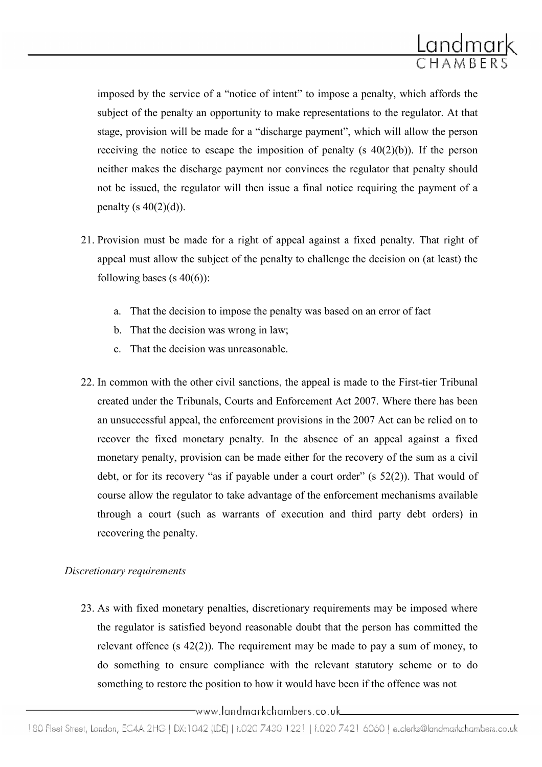

imposed by the service of a "notice of intent" to impose a penalty, which affords the subject of the penalty an opportunity to make representations to the regulator. At that stage, provision will be made for a "discharge payment", which will allow the person receiving the notice to escape the imposition of penalty (s  $40(2)(b)$ ). If the person neither makes the discharge payment nor convinces the regulator that penalty should not be issued, the regulator will then issue a final notice requiring the payment of a penalty (s  $40(2)(d)$ ).

- 21. Provision must be made for a right of appeal against a fixed penalty. That right of appeal must allow the subject of the penalty to challenge the decision on (at least) the following bases (s  $40(6)$ ):
	- a. That the decision to impose the penalty was based on an error of fact
	- b. That the decision was wrong in law;
	- c. That the decision was unreasonable.
- 22. In common with the other civil sanctions, the appeal is made to the First-tier Tribunal created under the Tribunals, Courts and Enforcement Act 2007. Where there has been an unsuccessful appeal, the enforcement provisions in the 2007 Act can be relied on to recover the fixed monetary penalty. In the absence of an appeal against a fixed monetary penalty, provision can be made either for the recovery of the sum as a civil debt, or for its recovery "as if payable under a court order" (s 52(2)). That would of course allow the regulator to take advantage of the enforcement mechanisms available through a court (such as warrants of execution and third party debt orders) in recovering the penalty.

#### Discretionary requirements

23. As with fixed monetary penalties, discretionary requirements may be imposed where the regulator is satisfied beyond reasonable doubt that the person has committed the relevant offence (s 42(2)). The requirement may be made to pay a sum of money, to do something to ensure compliance with the relevant statutory scheme or to do something to restore the position to how it would have been if the offence was not

<sup>180</sup> Fleet Street, London, EC4A 2HG | DX:1042 (IDE) | t.020 7430 1221 | f.020 7421 6060 | e.clerks@landmarkchambers.co.uk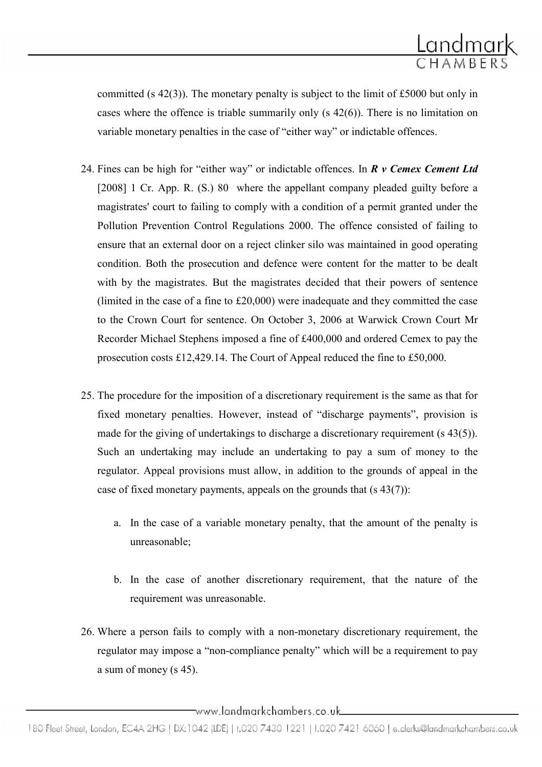

committed (s 42(3)). The monetary penalty is subject to the limit of £5000 but only in cases where the offence is triable summarily only (s 42(6)). There is no limitation on variable monetary penalties in the case of "either way" or indictable offences.

- 24. Fines can be high for "either way" or indictable offences. In  $\mathbb{R}$  v Cemex Cement Ltd [2008] 1 Cr. App. R. (S.) 80 where the appellant company pleaded guilty before a magistrates' court to failing to comply with a condition of a permit granted under the Pollution Prevention Control Regulations 2000. The offence consisted of failing to ensure that an external door on a reject clinker silo was maintained in good operating condition. Both the prosecution and defence were content for the matter to be dealt with by the magistrates. But the magistrates decided that their powers of sentence (limited in the case of a fine to £20,000) were inadequate and they committed the case to the Crown Court for sentence. On October 3, 2006 at Warwick Crown Court Mr Recorder Michael Stephens imposed a fine of £400,000 and ordered Cemex to pay the prosecution costs £12,429.14. The Court of Appeal reduced the fine to £50,000.
- 25. The procedure for the imposition of a discretionary requirement is the same as that for fixed monetary penalties. However, instead of "discharge payments", provision is made for the giving of undertakings to discharge a discretionary requirement (s 43(5)). Such an undertaking may include an undertaking to pay a sum of money to the regulator. Appeal provisions must allow, in addition to the grounds of appeal in the case of fixed monetary payments, appeals on the grounds that  $(s 43(7))$ :
	- a. In the case of a variable monetary penalty, that the amount of the penalty is unreasonable;
	- b. In the case of another discretionary requirement, that the nature of the requirement was unreasonable.
- 26. Where a person fails to comply with a non-monetary discretionary requirement, the regulator may impose a "non-compliance penalty" which will be a requirement to pay a sum of money (s 45).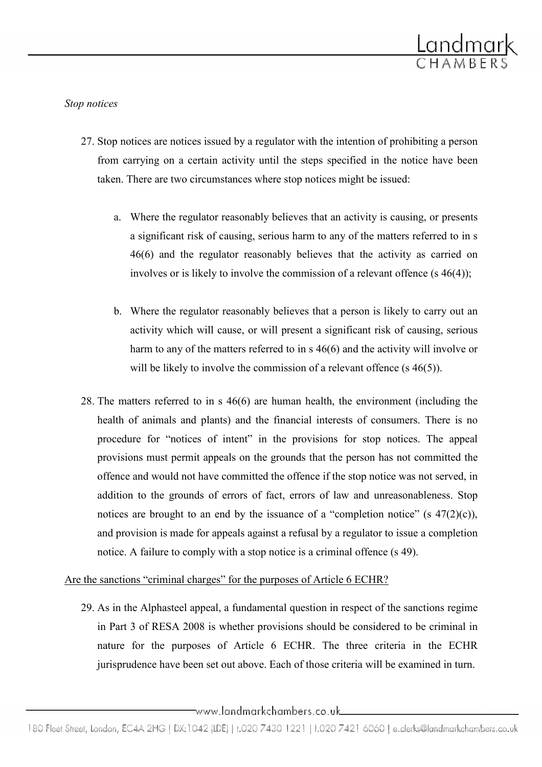

Stop notices

- 27. Stop notices are notices issued by a regulator with the intention of prohibiting a person from carrying on a certain activity until the steps specified in the notice have been taken. There are two circumstances where stop notices might be issued:
	- a. Where the regulator reasonably believes that an activity is causing, or presents a significant risk of causing, serious harm to any of the matters referred to in s 46(6) and the regulator reasonably believes that the activity as carried on involves or is likely to involve the commission of a relevant offence (s 46(4));
	- b. Where the regulator reasonably believes that a person is likely to carry out an activity which will cause, or will present a significant risk of causing, serious harm to any of the matters referred to in s 46(6) and the activity will involve or will be likely to involve the commission of a relevant offence (s 46(5)).
- 28. The matters referred to in s 46(6) are human health, the environment (including the health of animals and plants) and the financial interests of consumers. There is no procedure for "notices of intent" in the provisions for stop notices. The appeal provisions must permit appeals on the grounds that the person has not committed the offence and would not have committed the offence if the stop notice was not served, in addition to the grounds of errors of fact, errors of law and unreasonableness. Stop notices are brought to an end by the issuance of a "completion notice" (s  $47(2)(c)$ ), and provision is made for appeals against a refusal by a regulator to issue a completion notice. A failure to comply with a stop notice is a criminal offence (s 49).

#### Are the sanctions "criminal charges" for the purposes of Article 6 ECHR?

29. As in the Alphasteel appeal, a fundamental question in respect of the sanctions regime in Part 3 of RESA 2008 is whether provisions should be considered to be criminal in nature for the purposes of Article 6 ECHR. The three criteria in the ECHR jurisprudence have been set out above. Each of those criteria will be examined in turn.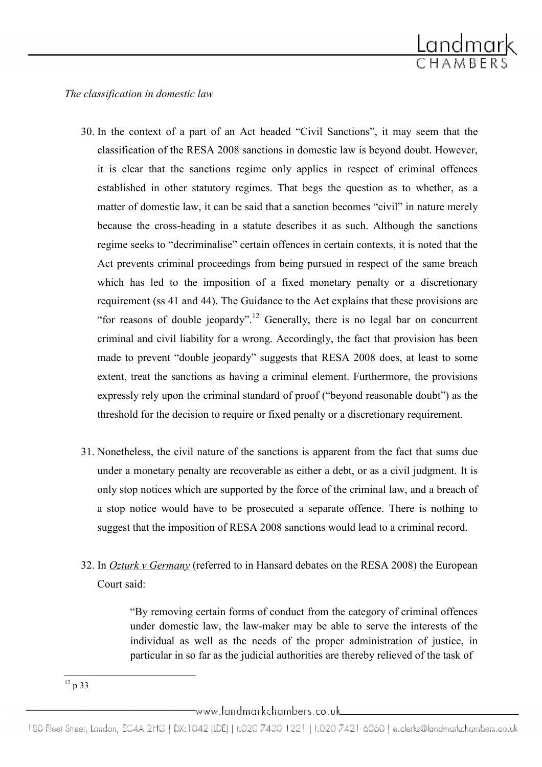

The classification in domestic law

- 30. In the context of a part of an Act headed "Civil Sanctions", it may seem that the classification of the RESA 2008 sanctions in domestic law is beyond doubt. However, it is clear that the sanctions regime only applies in respect of criminal offences established in other statutory regimes. That begs the question as to whether, as a matter of domestic law, it can be said that a sanction becomes "civil" in nature merely because the cross-heading in a statute describes it as such. Although the sanctions regime seeks to "decriminalise" certain offences in certain contexts, it is noted that the Act prevents criminal proceedings from being pursued in respect of the same breach which has led to the imposition of a fixed monetary penalty or a discretionary requirement (ss 41 and 44). The Guidance to the Act explains that these provisions are "for reasons of double jeopardy".<sup>12</sup> Generally, there is no legal bar on concurrent criminal and civil liability for a wrong. Accordingly, the fact that provision has been made to prevent "double jeopardy" suggests that RESA 2008 does, at least to some extent, treat the sanctions as having a criminal element. Furthermore, the provisions expressly rely upon the criminal standard of proof ("beyond reasonable doubt") as the threshold for the decision to require or fixed penalty or a discretionary requirement.
- 31. Nonetheless, the civil nature of the sanctions is apparent from the fact that sums due under a monetary penalty are recoverable as either a debt, or as a civil judgment. It is only stop notices which are supported by the force of the criminal law, and a breach of a stop notice would have to be prosecuted a separate offence. There is nothing to suggest that the imposition of RESA 2008 sanctions would lead to a criminal record.
- 32. In *Ozturk v Germany* (referred to in Hansard debates on the RESA 2008) the European Court said:

"By removing certain forms of conduct from the category of criminal offences under domestic law, the law-maker may be able to serve the interests of the individual as well as the needs of the proper administration of justice, in particular in so far as the judicial authorities are thereby relieved of the task of

ı  $12$  p 33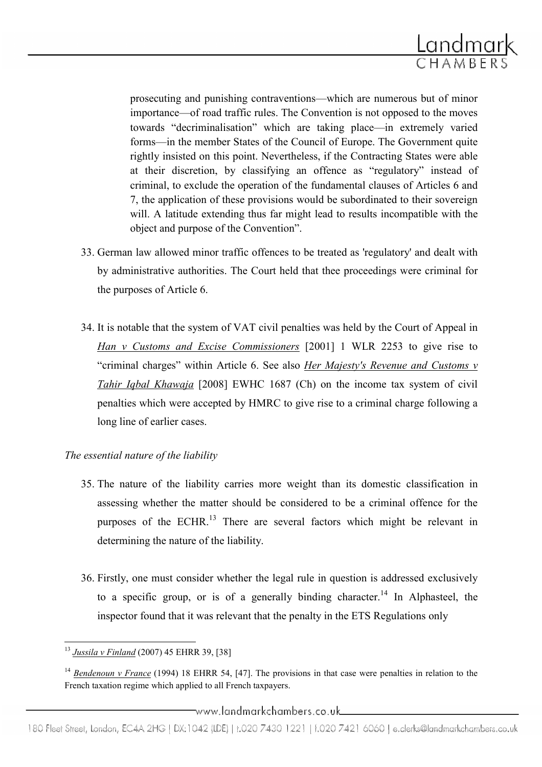

prosecuting and punishing contraventions—which are numerous but of minor importance—of road traffic rules. The Convention is not opposed to the moves towards "decriminalisation" which are taking place—in extremely varied forms—in the member States of the Council of Europe. The Government quite rightly insisted on this point. Nevertheless, if the Contracting States were able at their discretion, by classifying an offence as "regulatory" instead of criminal, to exclude the operation of the fundamental clauses of Articles 6 and 7, the application of these provisions would be subordinated to their sovereign will. A latitude extending thus far might lead to results incompatible with the object and purpose of the Convention".

- 33. German law allowed minor traffic offences to be treated as 'regulatory' and dealt with by administrative authorities. The Court held that thee proceedings were criminal for the purposes of Article 6.
- 34. It is notable that the system of VAT civil penalties was held by the Court of Appeal in Han v Customs and Excise Commissioners [2001] 1 WLR 2253 to give rise to "criminal charges" within Article 6. See also *Her Majesty's Revenue and Customs v* Tahir Iqbal Khawaja [2008] EWHC 1687 (Ch) on the income tax system of civil penalties which were accepted by HMRC to give rise to a criminal charge following a long line of earlier cases.

#### The essential nature of the liability

- 35. The nature of the liability carries more weight than its domestic classification in assessing whether the matter should be considered to be a criminal offence for the purposes of the ECHR.<sup>13</sup> There are several factors which might be relevant in determining the nature of the liability.
- 36. Firstly, one must consider whether the legal rule in question is addressed exclusively to a specific group, or is of a generally binding character.<sup>14</sup> In Alphasteel, the inspector found that it was relevant that the penalty in the ETS Regulations only

ı <sup>13</sup> Jussila v Finland (2007) 45 EHRR 39, [38]

<sup>&</sup>lt;sup>14</sup> Bendenoun v France (1994) 18 EHRR 54, [47]. The provisions in that case were penalties in relation to the French taxation regime which applied to all French taxpayers.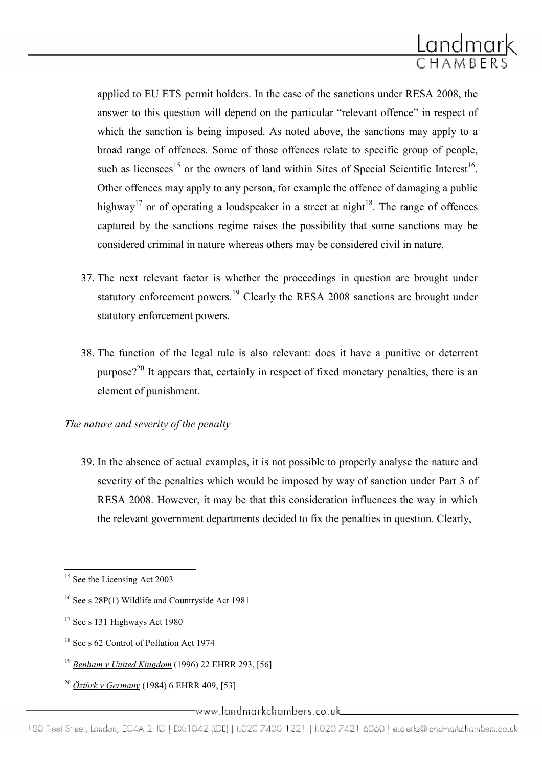

applied to EU ETS permit holders. In the case of the sanctions under RESA 2008, the answer to this question will depend on the particular "relevant offence" in respect of which the sanction is being imposed. As noted above, the sanctions may apply to a broad range of offences. Some of those offences relate to specific group of people, such as licensees<sup>15</sup> or the owners of land within Sites of Special Scientific Interest<sup>16</sup>. Other offences may apply to any person, for example the offence of damaging a public highway<sup>17</sup> or of operating a loudspeaker in a street at night<sup>18</sup>. The range of offences captured by the sanctions regime raises the possibility that some sanctions may be considered criminal in nature whereas others may be considered civil in nature.

- 37. The next relevant factor is whether the proceedings in question are brought under statutory enforcement powers.<sup>19</sup> Clearly the RESA 2008 sanctions are brought under statutory enforcement powers.
- 38. The function of the legal rule is also relevant: does it have a punitive or deterrent purpose?<sup>20</sup> It appears that, certainly in respect of fixed monetary penalties, there is an element of punishment.

## The nature and severity of the penalty

39. In the absence of actual examples, it is not possible to properly analyse the nature and severity of the penalties which would be imposed by way of sanction under Part 3 of RESA 2008. However, it may be that this consideration influences the way in which the relevant government departments decided to fix the penalties in question. Clearly,

- <sup>19</sup> Benham v United Kingdom (1996) 22 EHRR 293, [56]
- <sup>20</sup> Öztürk v Germany (1984) 6 EHRR 409, [53]

 $\overline{\phantom{0}}$ <sup>15</sup> See the Licensing Act 2003

<sup>16</sup> See s 28P(1) Wildlife and Countryside Act 1981

<sup>&</sup>lt;sup>17</sup> See s 131 Highways Act 1980

<sup>&</sup>lt;sup>18</sup> See s 62 Control of Pollution Act 1974

<sup>180</sup> Fleet Street, London, EC4A 2HG | DX:1042 (LDE) | t.020 7430 1221 | f.020 7421 6060 | e.clerks@landmarkchambers.co.uk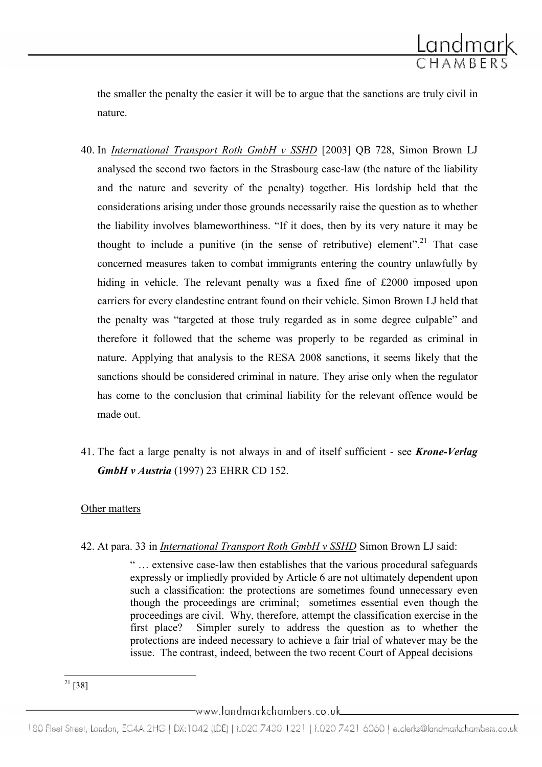

the smaller the penalty the easier it will be to argue that the sanctions are truly civil in nature.

- 40. In International Transport Roth GmbH v SSHD [2003] QB 728, Simon Brown LJ analysed the second two factors in the Strasbourg case-law (the nature of the liability and the nature and severity of the penalty) together. His lordship held that the considerations arising under those grounds necessarily raise the question as to whether the liability involves blameworthiness. "If it does, then by its very nature it may be thought to include a punitive (in the sense of retributive) element".<sup>21</sup> That case concerned measures taken to combat immigrants entering the country unlawfully by hiding in vehicle. The relevant penalty was a fixed fine of £2000 imposed upon carriers for every clandestine entrant found on their vehicle. Simon Brown LJ held that the penalty was "targeted at those truly regarded as in some degree culpable" and therefore it followed that the scheme was properly to be regarded as criminal in nature. Applying that analysis to the RESA 2008 sanctions, it seems likely that the sanctions should be considered criminal in nature. They arise only when the regulator has come to the conclusion that criminal liability for the relevant offence would be made out.
- 41. The fact a large penalty is not always in and of itself sufficient see Krone-Verlag **GmbH v Austria** (1997) 23 EHRR CD 152.

#### Other matters

42. At para. 33 in International Transport Roth GmbH v SSHD Simon Brown LJ said:

" … extensive case-law then establishes that the various procedural safeguards expressly or impliedly provided by Article 6 are not ultimately dependent upon such a classification: the protections are sometimes found unnecessary even though the proceedings are criminal; sometimes essential even though the proceedings are civil. Why, therefore, attempt the classification exercise in the first place? Simpler surely to address the question as to whether the protections are indeed necessary to achieve a fair trial of whatever may be the issue. The contrast, indeed, between the two recent Court of Appeal decisions

ı  $21$  [38]

<sup>180</sup> Fleet Street, London, EC4A 2HG | DX:1042 (LDE) | t.020 7430 1221 | f.020 7421 6060 | e.clerks@landmarkchambers.co.uk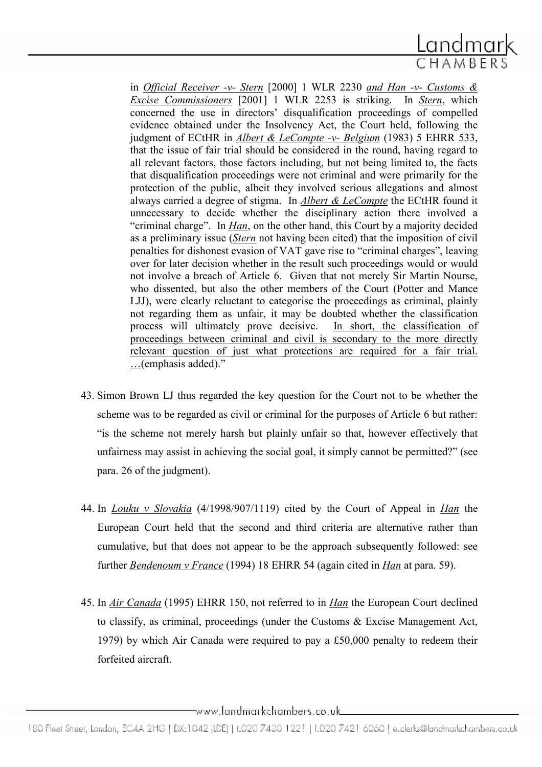

in Official Receiver -v- Stern [2000] 1 WLR 2230 and Han -v- Customs & Excise Commissioners [2001] 1 WLR 2253 is striking. In Stern, which concerned the use in directors' disqualification proceedings of compelled evidence obtained under the Insolvency Act, the Court held, following the judgment of ECtHR in Albert & LeCompte -v- Belgium (1983) 5 EHRR 533, that the issue of fair trial should be considered in the round, having regard to all relevant factors, those factors including, but not being limited to, the facts that disqualification proceedings were not criminal and were primarily for the protection of the public, albeit they involved serious allegations and almost always carried a degree of stigma. In Albert & LeCompte the ECtHR found it unnecessary to decide whether the disciplinary action there involved a "criminal charge". In *Han*, on the other hand, this Court by a majority decided as a preliminary issue (Stern not having been cited) that the imposition of civil penalties for dishonest evasion of VAT gave rise to "criminal charges", leaving over for later decision whether in the result such proceedings would or would not involve a breach of Article 6. Given that not merely Sir Martin Nourse, who dissented, but also the other members of the Court (Potter and Mance LJJ), were clearly reluctant to categorise the proceedings as criminal, plainly not regarding them as unfair, it may be doubted whether the classification process will ultimately prove decisive. In short, the classification of proceedings between criminal and civil is secondary to the more directly relevant question of just what protections are required for a fair trial. …(emphasis added)."

- 43. Simon Brown LJ thus regarded the key question for the Court not to be whether the scheme was to be regarded as civil or criminal for the purposes of Article 6 but rather: "is the scheme not merely harsh but plainly unfair so that, however effectively that unfairness may assist in achieving the social goal, it simply cannot be permitted?" (see para. 26 of the judgment).
- 44. In Louku v Slovakia (4/1998/907/1119) cited by the Court of Appeal in Han the European Court held that the second and third criteria are alternative rather than cumulative, but that does not appear to be the approach subsequently followed: see further **Bendenoum** v France (1994) 18 EHRR 54 (again cited in *Han* at para. 59).
- 45. In Air Canada (1995) EHRR 150, not referred to in Han the European Court declined to classify, as criminal, proceedings (under the Customs & Excise Management Act, 1979) by which Air Canada were required to pay a £50,000 penalty to redeem their forfeited aircraft.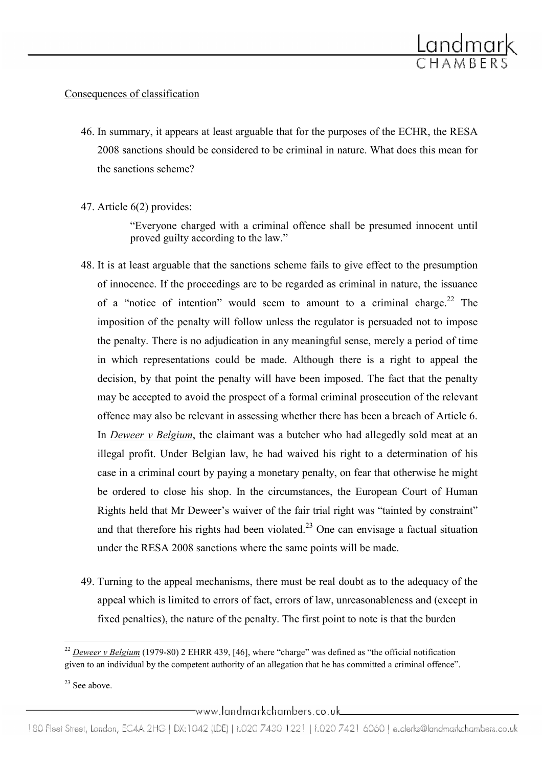

## Consequences of classification

- 46. In summary, it appears at least arguable that for the purposes of the ECHR, the RESA 2008 sanctions should be considered to be criminal in nature. What does this mean for the sanctions scheme?
- 47. Article 6(2) provides:

"Everyone charged with a criminal offence shall be presumed innocent until proved guilty according to the law."

- 48. It is at least arguable that the sanctions scheme fails to give effect to the presumption of innocence. If the proceedings are to be regarded as criminal in nature, the issuance of a "notice of intention" would seem to amount to a criminal charge.<sup>22</sup> The imposition of the penalty will follow unless the regulator is persuaded not to impose the penalty. There is no adjudication in any meaningful sense, merely a period of time in which representations could be made. Although there is a right to appeal the decision, by that point the penalty will have been imposed. The fact that the penalty may be accepted to avoid the prospect of a formal criminal prosecution of the relevant offence may also be relevant in assessing whether there has been a breach of Article 6. In *Deweer v Belgium*, the claimant was a butcher who had allegedly sold meat at an illegal profit. Under Belgian law, he had waived his right to a determination of his case in a criminal court by paying a monetary penalty, on fear that otherwise he might be ordered to close his shop. In the circumstances, the European Court of Human Rights held that Mr Deweer's waiver of the fair trial right was "tainted by constraint" and that therefore his rights had been violated.<sup>23</sup> One can envisage a factual situation under the RESA 2008 sanctions where the same points will be made.
- 49. Turning to the appeal mechanisms, there must be real doubt as to the adequacy of the appeal which is limited to errors of fact, errors of law, unreasonableness and (except in fixed penalties), the nature of the penalty. The first point to note is that the burden

ı  $22$  Deweer v Belgium (1979-80) 2 EHRR 439, [46], where "charge" was defined as "the official notification given to an individual by the competent authority of an allegation that he has committed a criminal offence".

 $23$  See above.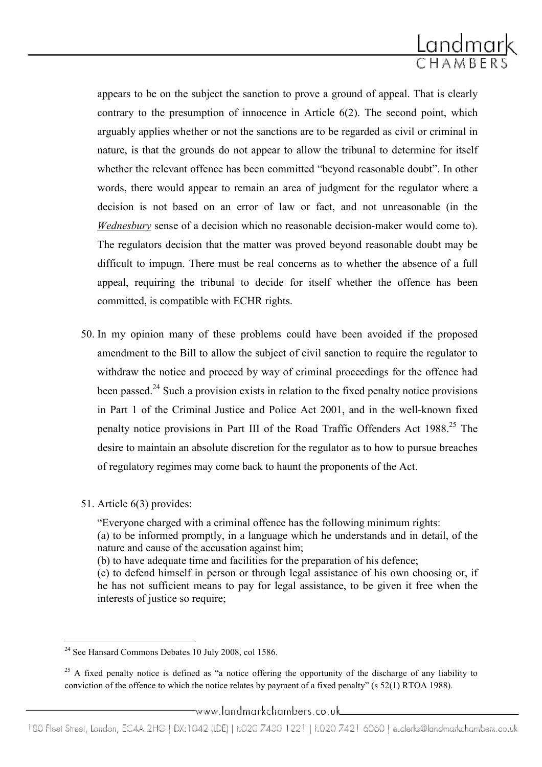

appears to be on the subject the sanction to prove a ground of appeal. That is clearly contrary to the presumption of innocence in Article 6(2). The second point, which arguably applies whether or not the sanctions are to be regarded as civil or criminal in nature, is that the grounds do not appear to allow the tribunal to determine for itself whether the relevant offence has been committed "beyond reasonable doubt". In other words, there would appear to remain an area of judgment for the regulator where a decision is not based on an error of law or fact, and not unreasonable (in the Wednesbury sense of a decision which no reasonable decision-maker would come to). The regulators decision that the matter was proved beyond reasonable doubt may be difficult to impugn. There must be real concerns as to whether the absence of a full appeal, requiring the tribunal to decide for itself whether the offence has been committed, is compatible with ECHR rights.

- 50. In my opinion many of these problems could have been avoided if the proposed amendment to the Bill to allow the subject of civil sanction to require the regulator to withdraw the notice and proceed by way of criminal proceedings for the offence had been passed.<sup>24</sup> Such a provision exists in relation to the fixed penalty notice provisions in Part 1 of the Criminal Justice and Police Act 2001, and in the well-known fixed penalty notice provisions in Part III of the Road Traffic Offenders Act 1988.<sup>25</sup> The desire to maintain an absolute discretion for the regulator as to how to pursue breaches of regulatory regimes may come back to haunt the proponents of the Act.
- 51. Article 6(3) provides:

"Everyone charged with a criminal offence has the following minimum rights:

(a) to be informed promptly, in a language which he understands and in detail, of the nature and cause of the accusation against him;

(b) to have adequate time and facilities for the preparation of his defence;

(c) to defend himself in person or through legal assistance of his own choosing or, if he has not sufficient means to pay for legal assistance, to be given it free when the interests of justice so require;

ı <sup>24</sup> See Hansard Commons Debates 10 July 2008, col 1586.

<sup>&</sup>lt;sup>25</sup> A fixed penalty notice is defined as "a notice offering the opportunity of the discharge of any liability to conviction of the offence to which the notice relates by payment of a fixed penalty" (s 52(1) RTOA 1988).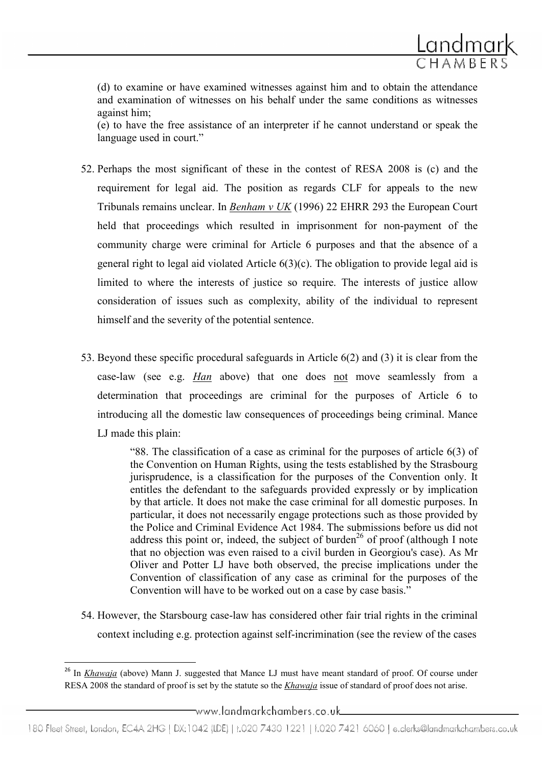

(d) to examine or have examined witnesses against him and to obtain the attendance and examination of witnesses on his behalf under the same conditions as witnesses against him;

(e) to have the free assistance of an interpreter if he cannot understand or speak the language used in court."

- 52. Perhaps the most significant of these in the contest of RESA 2008 is (c) and the requirement for legal aid. The position as regards CLF for appeals to the new Tribunals remains unclear. In Benham v UK (1996) 22 EHRR 293 the European Court held that proceedings which resulted in imprisonment for non-payment of the community charge were criminal for Article 6 purposes and that the absence of a general right to legal aid violated Article 6(3)(c). The obligation to provide legal aid is limited to where the interests of justice so require. The interests of justice allow consideration of issues such as complexity, ability of the individual to represent himself and the severity of the potential sentence.
- 53. Beyond these specific procedural safeguards in Article 6(2) and (3) it is clear from the case-law (see e.g. Han above) that one does not move seamlessly from a determination that proceedings are criminal for the purposes of Article 6 to introducing all the domestic law consequences of proceedings being criminal. Mance LJ made this plain:

"88. The classification of a case as criminal for the purposes of article 6(3) of the Convention on Human Rights, using the tests established by the Strasbourg jurisprudence, is a classification for the purposes of the Convention only. It entitles the defendant to the safeguards provided expressly or by implication by that article. It does not make the case criminal for all domestic purposes. In particular, it does not necessarily engage protections such as those provided by the Police and Criminal Evidence Act 1984. The submissions before us did not address this point or, indeed, the subject of burden<sup>26</sup> of proof (although I note that no objection was even raised to a civil burden in Georgiou's case). As Mr Oliver and Potter LJ have both observed, the precise implications under the Convention of classification of any case as criminal for the purposes of the Convention will have to be worked out on a case by case basis."

54. However, the Starsbourg case-law has considered other fair trial rights in the criminal context including e.g. protection against self-incrimination (see the review of the cases

l

<sup>&</sup>lt;sup>26</sup> In Khawaja (above) Mann J. suggested that Mance LJ must have meant standard of proof. Of course under RESA 2008 the standard of proof is set by the statute so the *Khawaja* issue of standard of proof does not arise.

<sup>-</sup>www.landmarkchambers.co.uk\_

<sup>180</sup> Fleet Street, London, EC4A 2HG | DX:1042 (LDE) | t.020 7430 1221 | f.020 7421 6060 | e.clerks@landmarkchambers.co.uk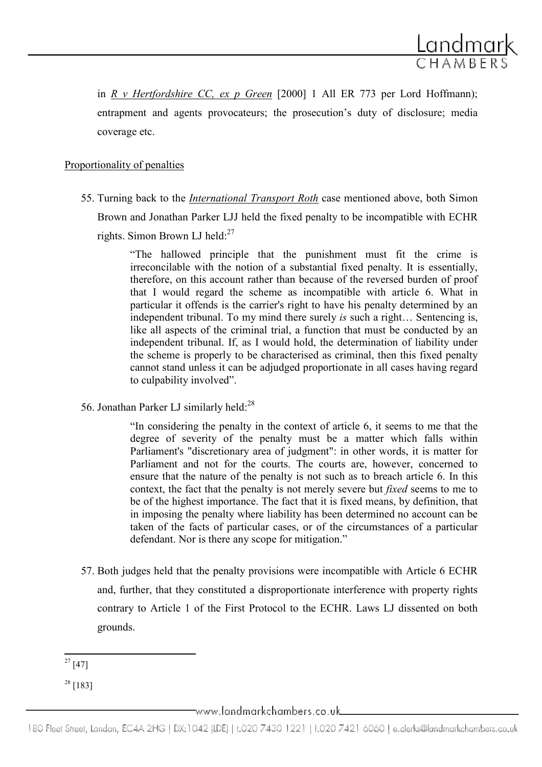

in R v Hertfordshire CC, ex p Green  $[2000]$  1 All ER 773 per Lord Hoffmann); entrapment and agents provocateurs; the prosecution's duty of disclosure; media coverage etc.

#### Proportionality of penalties

55. Turning back to the International Transport Roth case mentioned above, both Simon Brown and Jonathan Parker LJJ held the fixed penalty to be incompatible with ECHR rights. Simon Brown LJ held: $27$ 

> "The hallowed principle that the punishment must fit the crime is irreconcilable with the notion of a substantial fixed penalty. It is essentially, therefore, on this account rather than because of the reversed burden of proof that I would regard the scheme as incompatible with article 6. What in particular it offends is the carrier's right to have his penalty determined by an independent tribunal. To my mind there surely is such a right… Sentencing is, like all aspects of the criminal trial, a function that must be conducted by an independent tribunal. If, as I would hold, the determination of liability under the scheme is properly to be characterised as criminal, then this fixed penalty cannot stand unless it can be adjudged proportionate in all cases having regard to culpability involved".

56. Jonathan Parker LJ similarly held:<sup>28</sup>

"In considering the penalty in the context of article 6, it seems to me that the degree of severity of the penalty must be a matter which falls within Parliament's "discretionary area of judgment": in other words, it is matter for Parliament and not for the courts. The courts are, however, concerned to ensure that the nature of the penalty is not such as to breach article 6. In this context, the fact that the penalty is not merely severe but fixed seems to me to be of the highest importance. The fact that it is fixed means, by definition, that in imposing the penalty where liability has been determined no account can be taken of the facts of particular cases, or of the circumstances of a particular defendant. Nor is there any scope for mitigation."

57. Both judges held that the penalty provisions were incompatible with Article 6 ECHR and, further, that they constituted a disproportionate interference with property rights contrary to Article 1 of the First Protocol to the ECHR. Laws LJ dissented on both grounds.

ı  $27 [47]$ 

 $28$  [183]

 $\equiv$ www.landmarkchambers.co.uk $\equiv$